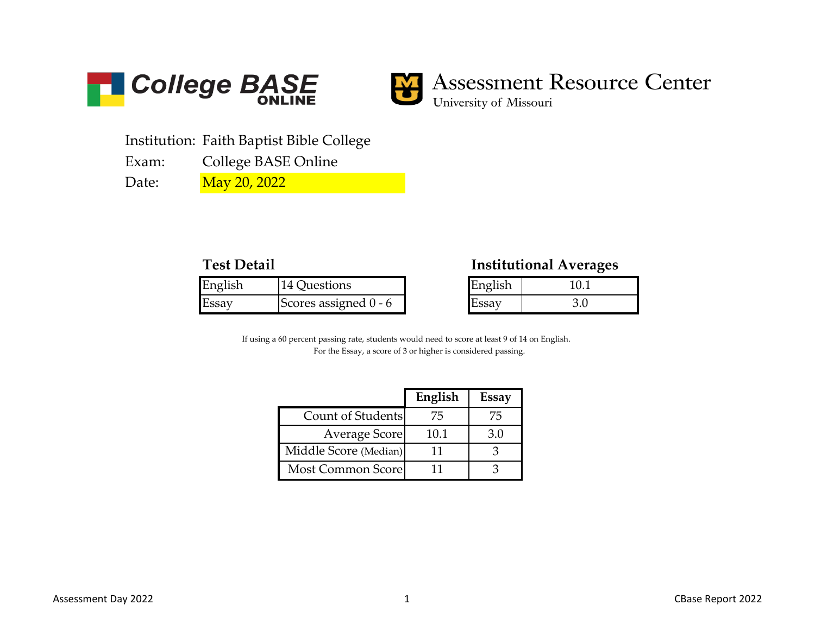



## **Assessment Resource Center**

University of Missouri

Institution: Faith Baptist Bible College

Exam: College BASE Online

Date:

May 20, 2022

| English | 14 Questions                  | English |  |
|---------|-------------------------------|---------|--|
| Essay   | <b>IScores assigned 0 - 6</b> | , Essay |  |

## **Test Detail Institutional Averages**

| English |  |  |  |
|---------|--|--|--|
| ssav    |  |  |  |

For the Essay, a score of 3 or higher is considered passing. If using a 60 percent passing rate, students would need to score at least 9 of 14 on English.

|                       | English | Essay |
|-----------------------|---------|-------|
| Count of Students     | 75      | 75    |
| Average Score         | 10.1    | 3.0   |
| Middle Score (Median) | 11      |       |
| Most Common Score     | 11      |       |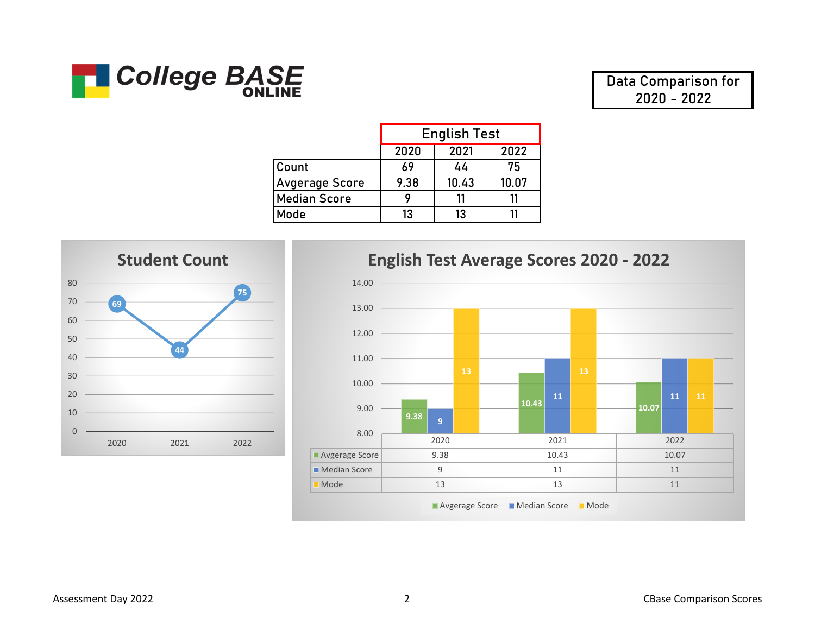

**Data Comparison for 2020 - 2022**

|                       | <b>English Test</b> |       |       |
|-----------------------|---------------------|-------|-------|
|                       | 2020                | 2021  | 2022  |
| <b>Count</b>          | 69                  | 44    | 75    |
| <b>Avgerage Score</b> | 9.38                | 10.43 | 10.07 |
| <b>Median Score</b>   |                     |       | 11    |
| Mode                  | 13                  | 13    |       |